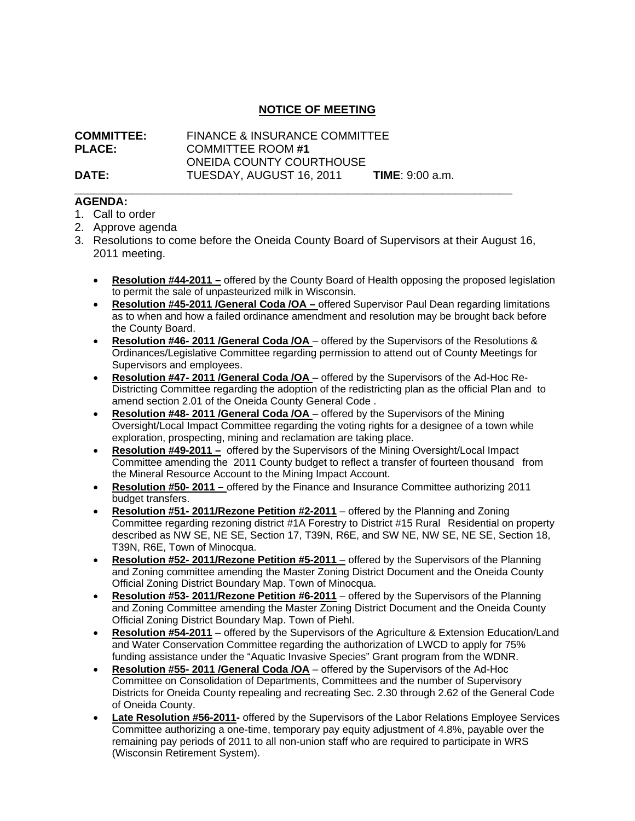## **NOTICE OF MEETING**

| <b>COMMITTEE:</b> | FINANCE & INSURANCE COMMITTEE   |                           |
|-------------------|---------------------------------|---------------------------|
| <b>PLACE:</b>     | <b>COMMITTEE ROOM #1</b>        |                           |
|                   | <b>ONEIDA COUNTY COURTHOUSE</b> |                           |
| <b>DATE:</b>      | TUESDAY, AUGUST 16, 2011        | <b>TIME</b> : $9:00$ a.m. |

## **AGENDA:**

- 1. Call to order
- 2. Approve agenda
- 3. Resolutions to come before the Oneida County Board of Supervisors at their August 16, 2011 meeting.

\_\_\_\_\_\_\_\_\_\_\_\_\_\_\_\_\_\_\_\_\_\_\_\_\_\_\_\_\_\_\_\_\_\_\_\_\_\_\_\_\_\_\_\_\_\_\_\_\_\_\_\_\_\_\_\_\_\_\_\_\_\_\_\_\_\_\_\_\_

- **Resolution #44-2011 –** offered by the County Board of Health opposing the proposed legislation to permit the sale of unpasteurized milk in Wisconsin.
- **Resolution #45-2011 /General Coda /OA** offered Supervisor Paul Dean regarding limitations as to when and how a failed ordinance amendment and resolution may be brought back before the County Board.
- **Resolution #46- 2011 /General Coda /OA**  offered by the Supervisors of the Resolutions & Ordinances/Legislative Committee regarding permission to attend out of County Meetings for Supervisors and employees.
- **Resolution #47- 2011 /General Coda /OA**  offered by the Supervisors of the Ad-Hoc Re-Districting Committee regarding the adoption of the redistricting plan as the official Plan and to amend section 2.01 of the Oneida County General Code .
- **Resolution #48- 2011 /General Coda /OA**  offered by the Supervisors of the Mining Oversight/Local Impact Committee regarding the voting rights for a designee of a town while exploration, prospecting, mining and reclamation are taking place.
- **Resolution #49-2011 –** offered by the Supervisors of the Mining Oversight/Local Impact Committee amending the 2011 County budget to reflect a transfer of fourteen thousand from the Mineral Resource Account to the Mining Impact Account.
- **Resolution #50- 2011** offered by the Finance and Insurance Committee authorizing 2011 budget transfers.
- **Resolution #51- 2011/Rezone Petition #2-2011** offered by the Planning and Zoning Committee regarding rezoning district #1A Forestry to District #15 Rural Residential on property described as NW SE, NE SE, Section 17, T39N, R6E, and SW NE, NW SE, NE SE, Section 18, T39N, R6E, Town of Minocqua.
- **Resolution #52- 2011/Rezone Petition #5-2011**  offered by the Supervisors of the Planning and Zoning committee amending the Master Zoning District Document and the Oneida County Official Zoning District Boundary Map. Town of Minocqua.
- **Resolution #53- 2011/Rezone Petition #6-2011** offered by the Supervisors of the Planning and Zoning Committee amending the Master Zoning District Document and the Oneida County Official Zoning District Boundary Map. Town of Piehl.
- **Resolution #54-2011** offered by the Supervisors of the Agriculture & Extension Education/Land and Water Conservation Committee regarding the authorization of LWCD to apply for 75% funding assistance under the "Aquatic Invasive Species" Grant program from the WDNR.
- **Resolution #55- 2011 /General Coda /OA** offered by the Supervisors of the Ad-Hoc Committee on Consolidation of Departments, Committees and the number of Supervisory Districts for Oneida County repealing and recreating Sec. 2.30 through 2.62 of the General Code of Oneida County.
- **Late Resolution #56-2011-** offered by the Supervisors of the Labor Relations Employee Services Committee authorizing a one-time, temporary pay equity adjustment of 4.8%, payable over the remaining pay periods of 2011 to all non-union staff who are required to participate in WRS (Wisconsin Retirement System).